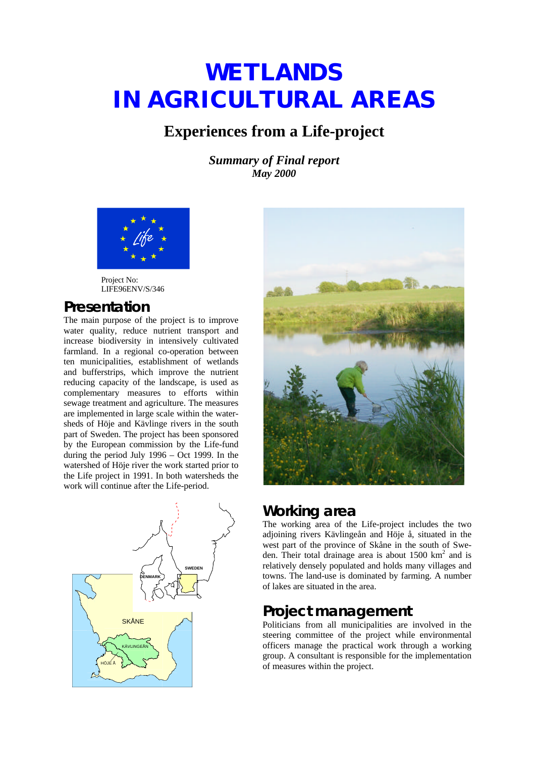# **WETLANDS IN AGRICULTURAL AREAS**

## **Experiences from a Life-project**

*Summary of Final report May 2000*



Project No: LIFE96ENV/S/346

## **Presentation**

The main purpose of the project is to improve water quality, reduce nutrient transport and increase biodiversity in intensively cultivated farmland. In a regional co-operation between ten municipalities, establishment of wetlands and bufferstrips, which improve the nutrient reducing capacity of the landscape, is used as complementary measures to efforts within sewage treatment and agriculture. The measures are implemented in large scale within the watersheds of Höje and Kävlinge rivers in the south part of Sweden. The project has been sponsored by the European commission by the Life-fund during the period July 1996 – Oct 1999. In the watershed of Höje river the work started prior to the Life project in 1991. In both watersheds the work will continue after the Life-period.





## **Working area**

The working area of the Life-project includes the two adjoining rivers Kävlingeån and Höje å, situated in the west part of the province of Skåne in the south of Sweden. Their total drainage area is about  $1500 \text{ km}^2$  and is relatively densely populated and holds many villages and towns. The land-use is dominated by farming. A number of lakes are situated in the area.

## **Project management**

Politicians from all municipalities are involved in the steering committee of the project while environmental officers manage the practical work through a working group. A consultant is responsible for the implementation of measures within the project.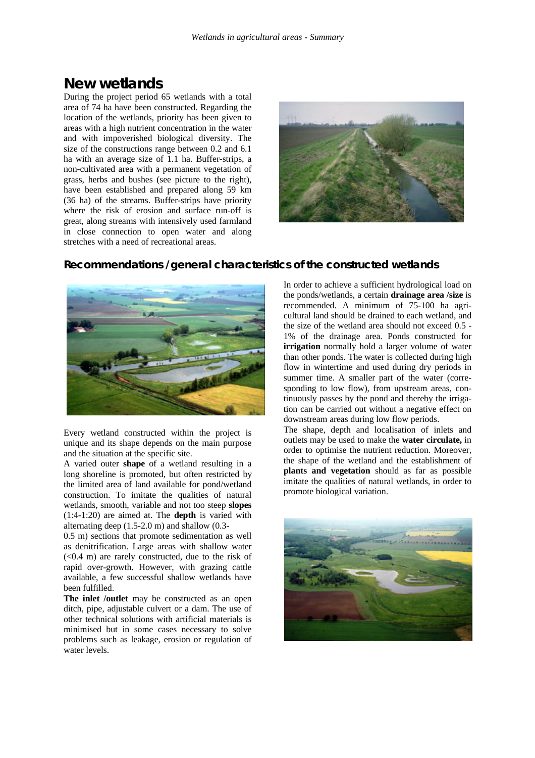## **New wetlands**

During the project period 65 wetlands with a total area of 74 ha have been constructed. Regarding the location of the wetlands, priority has been given to areas with a high nutrient concentration in the water and with impoverished biological diversity. The size of the constructions range between 0.2 and 6.1 ha with an average size of 1.1 ha. Buffer-strips, a non-cultivated area with a permanent vegetation of grass, herbs and bushes (see picture to the right), have been established and prepared along 59 km (36 ha) of the streams. Buffer-strips have priority where the risk of erosion and surface run-off is great, along streams with intensively used farmland in close connection to open water and along stretches with a need of recreational areas.



#### **Recommendations /general characteristics of the constructed wetlands**



Every wetland constructed within the project is unique and its shape depends on the main purpose and the situation at the specific site.

A varied outer **shape** of a wetland resulting in a long shoreline is promoted, but often restricted by the limited area of land available for pond/wetland construction. To imitate the qualities of natural wetlands, smooth, variable and not too steep **slopes** (1:4-1:20) are aimed at. The **depth** is varied with alternating deep (1.5-2.0 m) and shallow (0.3-

0.5 m) sections that promote sedimentation as well as denitrification. Large areas with shallow water  $( $0.4$  m) are rarely constructed, due to the risk of$ rapid over-growth. However, with grazing cattle available, a few successful shallow wetlands have been fulfilled.

**The inlet /outlet** may be constructed as an open ditch, pipe, adjustable culvert or a dam. The use of other technical solutions with artificial materials is minimised but in some cases necessary to solve problems such as leakage, erosion or regulation of water levels.

In order to achieve a sufficient hydrological load on the ponds/wetlands, a certain **drainage area /size** is recommended. A minimum of 75-100 ha agricultural land should be drained to each wetland, and the size of the wetland area should not exceed 0.5 - 1% of the drainage area. Ponds constructed for **irrigation** normally hold a larger volume of water than other ponds. The water is collected during high flow in wintertime and used during dry periods in summer time. A smaller part of the water (corresponding to low flow), from upstream areas, continuously passes by the pond and thereby the irrigation can be carried out without a negative effect on downstream areas during low flow periods.

The shape, depth and localisation of inlets and outlets may be used to make the **water circulate,** in order to optimise the nutrient reduction. Moreover, the shape of the wetland and the establishment of **plants and vegetation** should as far as possible imitate the qualities of natural wetlands, in order to promote biological variation.

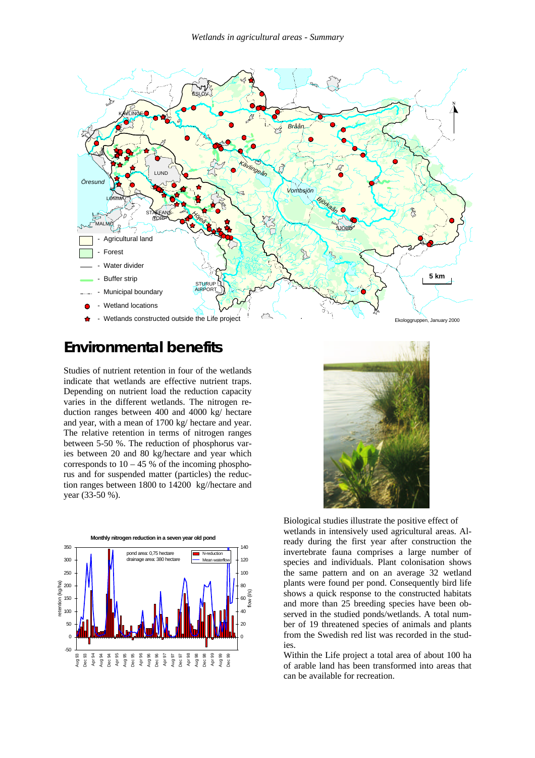

## **Environmental benefits**

Studies of nutrient retention in four of the wetlands indicate that wetlands are effective nutrient traps. Depending on nutrient load the reduction capacity varies in the different wetlands. The nitrogen reduction ranges between 400 and 4000 kg/ hectare and year, with a mean of 1700 kg/ hectare and year. The relative retention in terms of nitrogen ranges between 5-50 %. The reduction of phosphorus varies between 20 and 80 kg/hectare and year which corresponds to  $10 - 45$  % of the incoming phosphorus and for suspended matter (particles) the reduction ranges between 1800 to 14200 kg//hectare and year (33-50 %).





Biological studies illustrate the positive effect of wetlands in intensively used agricultural areas. Already during the first year after construction the invertebrate fauna comprises a large number of species and individuals. Plant colonisation shows the same pattern and on an average 32 wetland plants were found per pond. Consequently bird life shows a quick response to the constructed habitats and more than 25 breeding species have been observed in the studied ponds/wetlands. A total number of 19 threatened species of animals and plants from the Swedish red list was recorded in the studies.

Within the Life project a total area of about 100 ha of arable land has been transformed into areas that can be available for recreation.